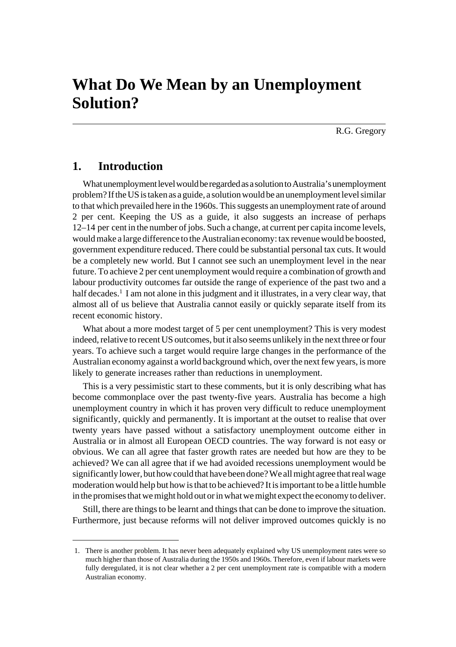# **What Do We Mean by an Unemployment Solution?**

R.G. Gregory

## **1. Introduction**

What unemployment level would be regarded as a solution to Australia's unemployment problem? If the US is taken as a guide, a solution would be an unemployment level similar to that which prevailed here in the 1960s. This suggests an unemployment rate of around 2 per cent. Keeping the US as a guide, it also suggests an increase of perhaps 12–14 per cent in the number of jobs. Such a change, at current per capita income levels, would make a large difference to the Australian economy: tax revenue would be boosted, government expenditure reduced. There could be substantial personal tax cuts. It would be a completely new world. But I cannot see such an unemployment level in the near future. To achieve 2 per cent unemployment would require a combination of growth and labour productivity outcomes far outside the range of experience of the past two and a half decades.<sup>1</sup> I am not alone in this judgment and it illustrates, in a very clear way, that almost all of us believe that Australia cannot easily or quickly separate itself from its recent economic history.

What about a more modest target of 5 per cent unemployment? This is very modest indeed, relative to recent US outcomes, but it also seems unlikely in the next three or four years. To achieve such a target would require large changes in the performance of the Australian economy against a world background which, over the next few years, is more likely to generate increases rather than reductions in unemployment.

This is a very pessimistic start to these comments, but it is only describing what has become commonplace over the past twenty-five years. Australia has become a high unemployment country in which it has proven very difficult to reduce unemployment significantly, quickly and permanently. It is important at the outset to realise that over twenty years have passed without a satisfactory unemployment outcome either in Australia or in almost all European OECD countries. The way forward is not easy or obvious. We can all agree that faster growth rates are needed but how are they to be achieved? We can all agree that if we had avoided recessions unemployment would be significantly lower, but how could that have been done? We all might agree that real wage moderation would help but how is that to be achieved? It is important to be a little humble in the promises that we might hold out or in what we might expect the economy to deliver.

Still, there are things to be learnt and things that can be done to improve the situation. Furthermore, just because reforms will not deliver improved outcomes quickly is no

<sup>1.</sup> There is another problem. It has never been adequately explained why US unemployment rates were so much higher than those of Australia during the 1950s and 1960s. Therefore, even if labour markets were fully deregulated, it is not clear whether a 2 per cent unemployment rate is compatible with a modern Australian economy.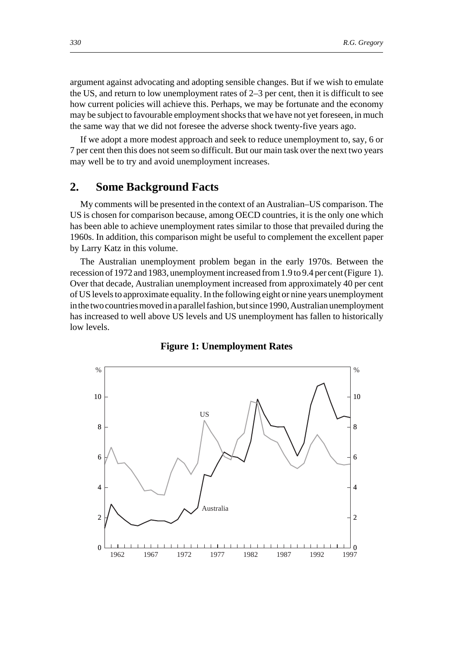argument against advocating and adopting sensible changes. But if we wish to emulate the US, and return to low unemployment rates of 2–3 per cent, then it is difficult to see how current policies will achieve this. Perhaps, we may be fortunate and the economy may be subject to favourable employment shocks that we have not yet foreseen, in much the same way that we did not foresee the adverse shock twenty-five years ago.

If we adopt a more modest approach and seek to reduce unemployment to, say, 6 or 7 per cent then this does not seem so difficult. But our main task over the next two years may well be to try and avoid unemployment increases.

## **2. Some Background Facts**

My comments will be presented in the context of an Australian–US comparison. The US is chosen for comparison because, among OECD countries, it is the only one which has been able to achieve unemployment rates similar to those that prevailed during the 1960s. In addition, this comparison might be useful to complement the excellent paper by Larry Katz in this volume.

The Australian unemployment problem began in the early 1970s. Between the recession of 1972 and 1983, unemployment increased from 1.9 to 9.4 per cent (Figure 1). Over that decade, Australian unemployment increased from approximately 40 per cent of US levels to approximate equality. In the following eight or nine years unemployment in the two countries moved in a parallel fashion, but since 1990, Australian unemployment has increased to well above US levels and US unemployment has fallen to historically low levels.



#### **Figure 1: Unemployment Rates**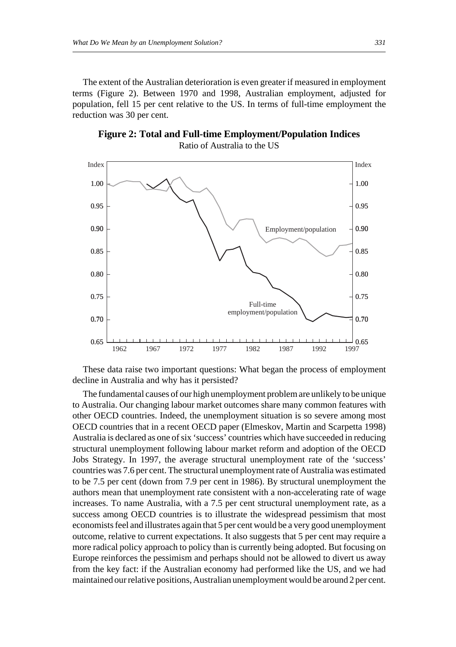The extent of the Australian deterioration is even greater if measured in employment terms (Figure 2). Between 1970 and 1998, Australian employment, adjusted for population, fell 15 per cent relative to the US. In terms of full-time employment the reduction was 30 per cent.



**Figure 2: Total and Full-time Employment/Population Indices** Ratio of Australia to the US

These data raise two important questions: What began the process of employment decline in Australia and why has it persisted?

The fundamental causes of our high unemployment problem are unlikely to be unique to Australia. Our changing labour market outcomes share many common features with other OECD countries. Indeed, the unemployment situation is so severe among most OECD countries that in a recent OECD paper (Elmeskov, Martin and Scarpetta 1998) Australia is declared as one of six 'success' countries which have succeeded in reducing structural unemployment following labour market reform and adoption of the OECD Jobs Strategy. In 1997, the average structural unemployment rate of the 'success' countries was 7.6 per cent. The structural unemployment rate of Australia was estimated to be 7.5 per cent (down from 7.9 per cent in 1986). By structural unemployment the authors mean that unemployment rate consistent with a non-accelerating rate of wage increases. To name Australia, with a 7.5 per cent structural unemployment rate, as a success among OECD countries is to illustrate the widespread pessimism that most economists feel and illustrates again that 5 per cent would be a very good unemployment outcome, relative to current expectations. It also suggests that 5 per cent may require a more radical policy approach to policy than is currently being adopted. But focusing on Europe reinforces the pessimism and perhaps should not be allowed to divert us away from the key fact: if the Australian economy had performed like the US, and we had maintained our relative positions, Australian unemployment would be around 2 per cent.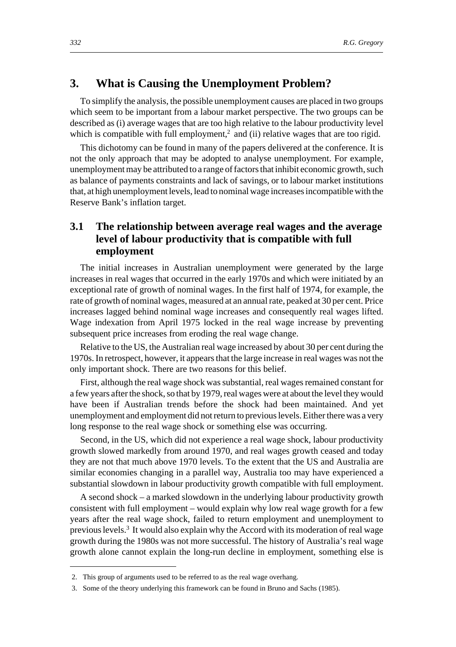## **3. What is Causing the Unemployment Problem?**

To simplify the analysis, the possible unemployment causes are placed in two groups which seem to be important from a labour market perspective. The two groups can be described as (i) average wages that are too high relative to the labour productivity level which is compatible with full employment, $2$  and (ii) relative wages that are too rigid.

This dichotomy can be found in many of the papers delivered at the conference. It is not the only approach that may be adopted to analyse unemployment. For example, unemployment may be attributed to a range of factors that inhibit economic growth, such as balance of payments constraints and lack of savings, or to labour market institutions that, at high unemployment levels, lead to nominal wage increases incompatible with the Reserve Bank's inflation target.

## **3.1 The relationship between average real wages and the average level of labour productivity that is compatible with full employment**

The initial increases in Australian unemployment were generated by the large increases in real wages that occurred in the early 1970s and which were initiated by an exceptional rate of growth of nominal wages. In the first half of 1974, for example, the rate of growth of nominal wages, measured at an annual rate, peaked at 30 per cent. Price increases lagged behind nominal wage increases and consequently real wages lifted. Wage indexation from April 1975 locked in the real wage increase by preventing subsequent price increases from eroding the real wage change.

Relative to the US, the Australian real wage increased by about 30 per cent during the 1970s. In retrospect, however, it appears that the large increase in real wages was not the only important shock. There are two reasons for this belief.

First, although the real wage shock was substantial, real wages remained constant for a few years after the shock, so that by 1979, real wages were at about the level they would have been if Australian trends before the shock had been maintained. And yet unemployment and employment did not return to previous levels. Either there was a very long response to the real wage shock or something else was occurring.

Second, in the US, which did not experience a real wage shock, labour productivity growth slowed markedly from around 1970, and real wages growth ceased and today they are not that much above 1970 levels. To the extent that the US and Australia are similar economies changing in a parallel way, Australia too may have experienced a substantial slowdown in labour productivity growth compatible with full employment.

A second shock – a marked slowdown in the underlying labour productivity growth consistent with full employment – would explain why low real wage growth for a few years after the real wage shock, failed to return employment and unemployment to previous levels.3 It would also explain why the Accord with its moderation of real wage growth during the 1980s was not more successful. The history of Australia's real wage growth alone cannot explain the long-run decline in employment, something else is

<sup>2.</sup> This group of arguments used to be referred to as the real wage overhang.

<sup>3.</sup> Some of the theory underlying this framework can be found in Bruno and Sachs (1985).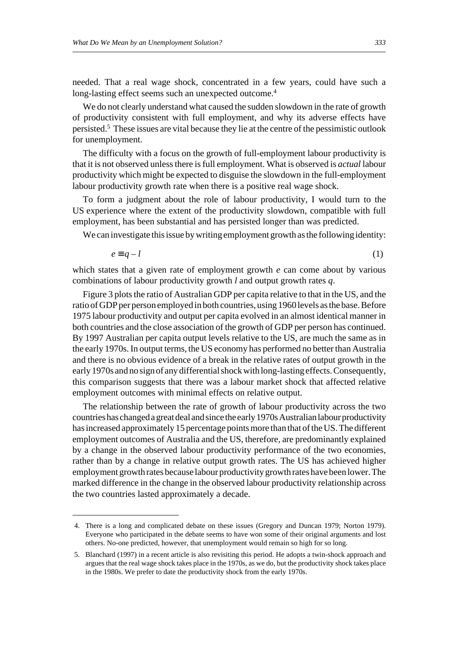needed. That a real wage shock, concentrated in a few years, could have such a long-lasting effect seems such an unexpected outcome.<sup>4</sup>

We do not clearly understand what caused the sudden slowdown in the rate of growth of productivity consistent with full employment, and why its adverse effects have persisted.5 These issues are vital because they lie at the centre of the pessimistic outlook for unemployment.

The difficulty with a focus on the growth of full-employment labour productivity is that it is not observed unless there is full employment. What is observed is *actual* labour productivity which might be expected to disguise the slowdown in the full-employment labour productivity growth rate when there is a positive real wage shock.

To form a judgment about the role of labour productivity, I would turn to the US experience where the extent of the productivity slowdown, compatible with full employment, has been substantial and has persisted longer than was predicted.

We can investigate this issue by writing employment growth as the following identity:

$$
e \equiv q - l \tag{1}
$$

which states that a given rate of employment growth *e* can come about by various combinations of labour productivity growth *l* and output growth rates *q*.

Figure 3 plots the ratio of Australian GDP per capita relative to that in the US, and the ratio of GDP per person employed in both countries, using 1960 levels as the base. Before 1975 labour productivity and output per capita evolved in an almost identical manner in both countries and the close association of the growth of GDP per person has continued. By 1997 Australian per capita output levels relative to the US, are much the same as in the early 1970s. In output terms, the US economy has performed no better than Australia and there is no obvious evidence of a break in the relative rates of output growth in the early 1970s and no sign of any differential shock with long-lasting effects. Consequently, this comparison suggests that there was a labour market shock that affected relative employment outcomes with minimal effects on relative output.

The relationship between the rate of growth of labour productivity across the two countries has changed a great deal and since the early 1970s Australian labour productivity has increased approximately 15 percentage points more than that of the US. The different employment outcomes of Australia and the US, therefore, are predominantly explained by a change in the observed labour productivity performance of the two economies, rather than by a change in relative output growth rates. The US has achieved higher employment growth rates because labour productivity growth rates have been lower. The marked difference in the change in the observed labour productivity relationship across the two countries lasted approximately a decade.

<sup>4.</sup> There is a long and complicated debate on these issues (Gregory and Duncan 1979; Norton 1979). Everyone who participated in the debate seems to have won some of their original arguments and lost others. No-one predicted, however, that unemployment would remain so high for so long.

<sup>5.</sup> Blanchard (1997) in a recent article is also revisiting this period. He adopts a twin-shock approach and argues that the real wage shock takes place in the 1970s, as we do, but the productivity shock takes place in the 1980s. We prefer to date the productivity shock from the early 1970s.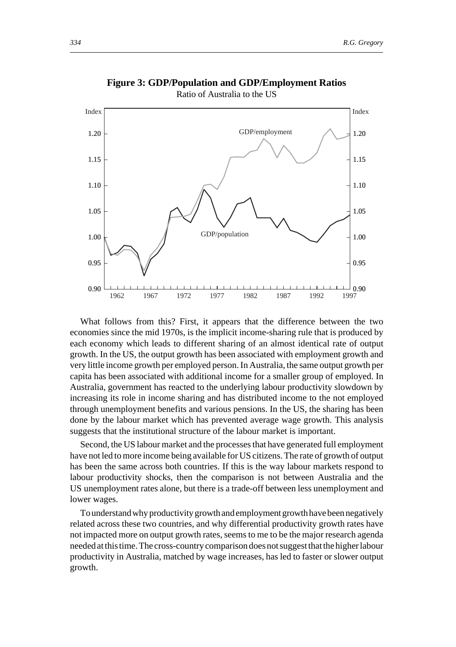

**Figure 3: GDP/Population and GDP/Employment Ratios**

Ratio of Australia to the US

What follows from this? First, it appears that the difference between the two economies since the mid 1970s, is the implicit income-sharing rule that is produced by each economy which leads to different sharing of an almost identical rate of output growth. In the US, the output growth has been associated with employment growth and very little income growth per employed person. In Australia, the same output growth per capita has been associated with additional income for a smaller group of employed. In Australia, government has reacted to the underlying labour productivity slowdown by increasing its role in income sharing and has distributed income to the not employed through unemployment benefits and various pensions. In the US, the sharing has been done by the labour market which has prevented average wage growth. This analysis suggests that the institutional structure of the labour market is important.

Second, the US labour market and the processes that have generated full employment have not led to more income being available for US citizens. The rate of growth of output has been the same across both countries. If this is the way labour markets respond to labour productivity shocks, then the comparison is not between Australia and the US unemployment rates alone, but there is a trade-off between less unemployment and lower wages.

To understand why productivity growth and employment growth have been negatively related across these two countries, and why differential productivity growth rates have not impacted more on output growth rates, seems to me to be the major research agenda needed at this time. The cross-country comparison does not suggest that the higher labour productivity in Australia, matched by wage increases, has led to faster or slower output growth.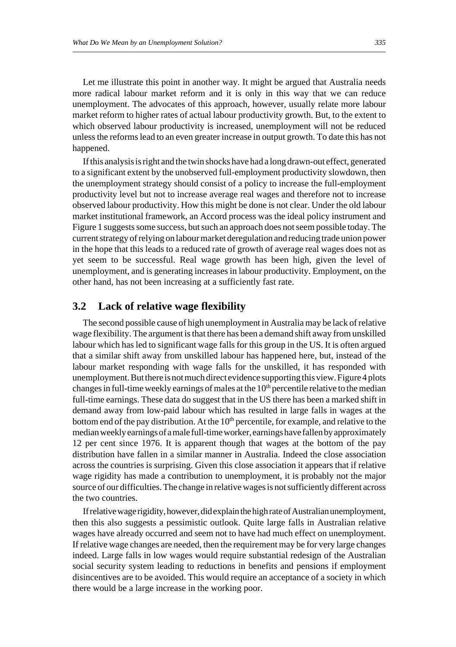Let me illustrate this point in another way. It might be argued that Australia needs more radical labour market reform and it is only in this way that we can reduce unemployment. The advocates of this approach, however, usually relate more labour market reform to higher rates of actual labour productivity growth. But, to the extent to which observed labour productivity is increased, unemployment will not be reduced unless the reforms lead to an even greater increase in output growth. To date this has not happened.

If this analysis is right and the twin shocks have had a long drawn-out effect, generated to a significant extent by the unobserved full-employment productivity slowdown, then the unemployment strategy should consist of a policy to increase the full-employment productivity level but not to increase average real wages and therefore not to increase observed labour productivity. How this might be done is not clear. Under the old labour market institutional framework, an Accord process was the ideal policy instrument and Figure 1 suggests some success, but such an approach does not seem possible today. The current strategy of relying on labour market deregulation and reducing trade union power in the hope that this leads to a reduced rate of growth of average real wages does not as yet seem to be successful. Real wage growth has been high, given the level of unemployment, and is generating increases in labour productivity. Employment, on the other hand, has not been increasing at a sufficiently fast rate.

#### **3.2 Lack of relative wage flexibility**

The second possible cause of high unemployment in Australia may be lack of relative wage flexibility. The argument is that there has been a demand shift away from unskilled labour which has led to significant wage falls for this group in the US. It is often argued that a similar shift away from unskilled labour has happened here, but, instead of the labour market responding with wage falls for the unskilled, it has responded with unemployment. But there is not much direct evidence supporting this view. Figure 4 plots changes in full-time weekly earnings of males at the  $10<sup>th</sup>$  percentile relative to the median full-time earnings. These data do suggest that in the US there has been a marked shift in demand away from low-paid labour which has resulted in large falls in wages at the bottom end of the pay distribution. At the  $10<sup>th</sup>$  percentile, for example, and relative to the median weekly earnings of a male full-time worker, earnings have fallen by approximately 12 per cent since 1976. It is apparent though that wages at the bottom of the pay distribution have fallen in a similar manner in Australia. Indeed the close association across the countries is surprising. Given this close association it appears that if relative wage rigidity has made a contribution to unemployment, it is probably not the major source of our difficulties. The change in relative wages is not sufficiently different across the two countries.

If relative wage rigidity, however, did explain the high rate of Australian unemployment, then this also suggests a pessimistic outlook. Quite large falls in Australian relative wages have already occurred and seem not to have had much effect on unemployment. If relative wage changes are needed, then the requirement may be for very large changes indeed. Large falls in low wages would require substantial redesign of the Australian social security system leading to reductions in benefits and pensions if employment disincentives are to be avoided. This would require an acceptance of a society in which there would be a large increase in the working poor.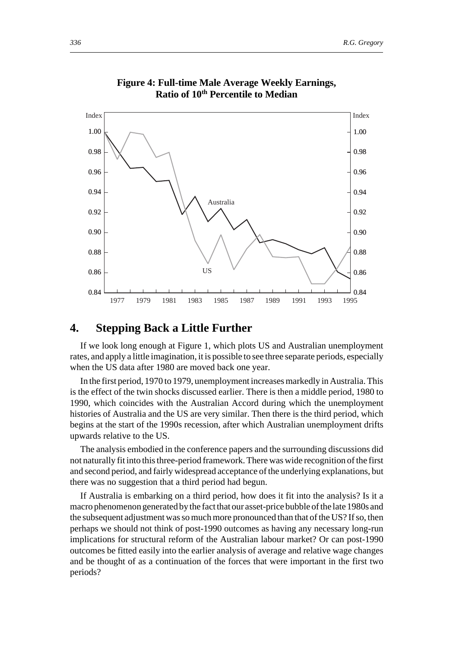

#### **Figure 4: Full-time Male Average Weekly Earnings, Ratio of 10th Percentile to Median**

### **4. Stepping Back a Little Further**

If we look long enough at Figure 1, which plots US and Australian unemployment rates, and apply a little imagination, it is possible to see three separate periods, especially when the US data after 1980 are moved back one year.

In the first period, 1970 to 1979, unemployment increases markedly in Australia. This is the effect of the twin shocks discussed earlier. There is then a middle period, 1980 to 1990, which coincides with the Australian Accord during which the unemployment histories of Australia and the US are very similar. Then there is the third period, which begins at the start of the 1990s recession, after which Australian unemployment drifts upwards relative to the US.

The analysis embodied in the conference papers and the surrounding discussions did not naturally fit into this three-period framework. There was wide recognition of the first and second period, and fairly widespread acceptance of the underlying explanations, but there was no suggestion that a third period had begun.

If Australia is embarking on a third period, how does it fit into the analysis? Is it a macro phenomenon generated by the fact that our asset-price bubble of the late 1980s and the subsequent adjustment was so much more pronounced than that of the US? If so, then perhaps we should not think of post-1990 outcomes as having any necessary long-run implications for structural reform of the Australian labour market? Or can post-1990 outcomes be fitted easily into the earlier analysis of average and relative wage changes and be thought of as a continuation of the forces that were important in the first two periods?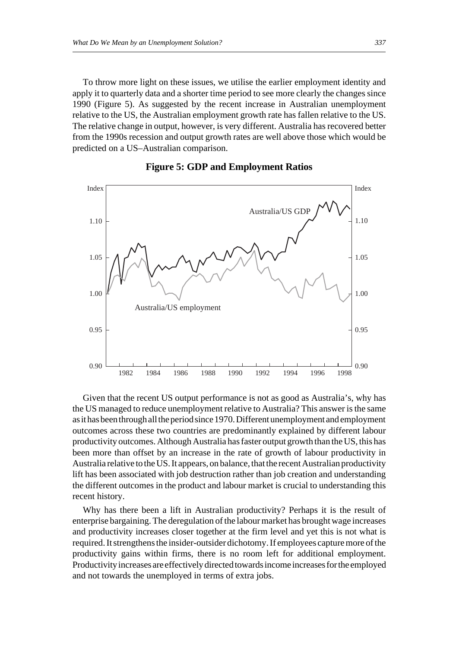To throw more light on these issues, we utilise the earlier employment identity and apply it to quarterly data and a shorter time period to see more clearly the changes since 1990 (Figure 5). As suggested by the recent increase in Australian unemployment relative to the US, the Australian employment growth rate has fallen relative to the US. The relative change in output, however, is very different. Australia has recovered better from the 1990s recession and output growth rates are well above those which would be predicted on a US–Australian comparison.





Given that the recent US output performance is not as good as Australia's, why has the US managed to reduce unemployment relative to Australia? This answer is the same as it has been through all the period since 1970. Different unemployment and employment outcomes across these two countries are predominantly explained by different labour productivity outcomes. Although Australia has faster output growth than the US, this has been more than offset by an increase in the rate of growth of labour productivity in Australia relative to the US. It appears, on balance, that the recent Australian productivity lift has been associated with job destruction rather than job creation and understanding the different outcomes in the product and labour market is crucial to understanding this recent history.

Why has there been a lift in Australian productivity? Perhaps it is the result of enterprise bargaining. The deregulation of the labour market has brought wage increases and productivity increases closer together at the firm level and yet this is not what is required. It strengthens the insider-outsider dichotomy. If employees capture more of the productivity gains within firms, there is no room left for additional employment. Productivity increases are effectively directed towards income increases for the employed and not towards the unemployed in terms of extra jobs.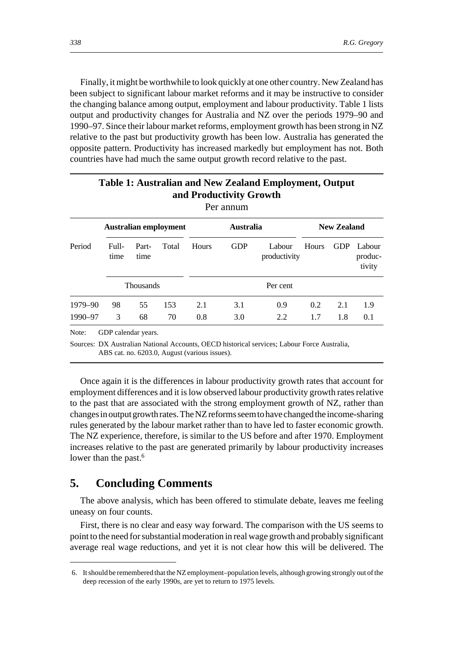Finally, it might be worthwhile to look quickly at one other country. New Zealand has been subject to significant labour market reforms and it may be instructive to consider the changing balance among output, employment and labour productivity. Table 1 lists output and productivity changes for Australia and NZ over the periods 1979–90 and 1990–97. Since their labour market reforms, employment growth has been strong in NZ relative to the past but productivity growth has been low. Australia has generated the opposite pattern. Productivity has increased markedly but employment has not. Both countries have had much the same output growth record relative to the past.

| $\frac{1}{2}$<br>Per annum |                       |               |       |                  |            |                        |                    |            |                             |
|----------------------------|-----------------------|---------------|-------|------------------|------------|------------------------|--------------------|------------|-----------------------------|
|                            | Australian employment |               |       | <b>Australia</b> |            |                        | <b>New Zealand</b> |            |                             |
| Period                     | Full-<br>time         | Part-<br>time | Total | Hours            | <b>GDP</b> | Labour<br>productivity | Hours              | <b>GDP</b> | Labour<br>produc-<br>tivity |
|                            | <b>Thousands</b>      |               |       | Per cent         |            |                        |                    |            |                             |
| 1979-90                    | 98                    | 55            | 153   | 2.1              | 3.1        | 0.9                    | 0.2                | 2.1        | 1.9                         |
| 1990-97                    | 3                     | 68            | 70    | 0.8              | 3.0        | 2.2                    | 1.7                | 1.8        | 0.1                         |

### **Table 1: Australian and New Zealand Employment, Output and Productivity Growth**

Note: GDP calendar years.

Sources: DX Australian National Accounts, OECD historical services; Labour Force Australia, ABS cat. no. 6203.0, August (various issues).

Once again it is the differences in labour productivity growth rates that account for employment differences and it is low observed labour productivity growth rates relative to the past that are associated with the strong employment growth of NZ, rather than changes in output growth rates. The NZ reforms seem to have changed the income-sharing rules generated by the labour market rather than to have led to faster economic growth. The NZ experience, therefore, is similar to the US before and after 1970. Employment increases relative to the past are generated primarily by labour productivity increases lower than the past.<sup>6</sup>

## **5. Concluding Comments**

The above analysis, which has been offered to stimulate debate, leaves me feeling uneasy on four counts.

First, there is no clear and easy way forward. The comparison with the US seems to point to the need for substantial moderation in real wage growth and probably significant average real wage reductions, and yet it is not clear how this will be delivered. The

<sup>6.</sup> It should be remembered that the NZ employment–population levels, although growing strongly out of the deep recession of the early 1990s, are yet to return to 1975 levels.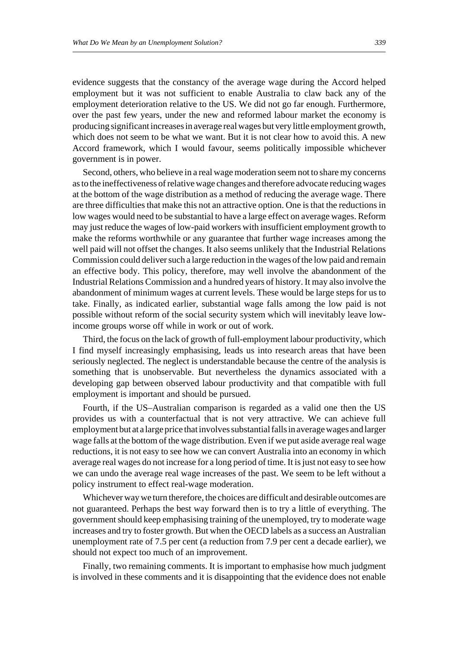evidence suggests that the constancy of the average wage during the Accord helped employment but it was not sufficient to enable Australia to claw back any of the employment deterioration relative to the US. We did not go far enough. Furthermore, over the past few years, under the new and reformed labour market the economy is producing significant increases in average real wages but very little employment growth, which does not seem to be what we want. But it is not clear how to avoid this. A new Accord framework, which I would favour, seems politically impossible whichever government is in power.

Second, others, who believe in a real wage moderation seem not to share my concerns as to the ineffectiveness of relative wage changes and therefore advocate reducing wages at the bottom of the wage distribution as a method of reducing the average wage. There are three difficulties that make this not an attractive option. One is that the reductions in low wages would need to be substantial to have a large effect on average wages. Reform may just reduce the wages of low-paid workers with insufficient employment growth to make the reforms worthwhile or any guarantee that further wage increases among the well paid will not offset the changes. It also seems unlikely that the Industrial Relations Commission could deliver such a large reduction in the wages of the low paid and remain an effective body. This policy, therefore, may well involve the abandonment of the Industrial Relations Commission and a hundred years of history. It may also involve the abandonment of minimum wages at current levels. These would be large steps for us to take. Finally, as indicated earlier, substantial wage falls among the low paid is not possible without reform of the social security system which will inevitably leave lowincome groups worse off while in work or out of work.

Third, the focus on the lack of growth of full-employment labour productivity, which I find myself increasingly emphasising, leads us into research areas that have been seriously neglected. The neglect is understandable because the centre of the analysis is something that is unobservable. But nevertheless the dynamics associated with a developing gap between observed labour productivity and that compatible with full employment is important and should be pursued.

Fourth, if the US–Australian comparison is regarded as a valid one then the US provides us with a counterfactual that is not very attractive. We can achieve full employment but at a large price that involves substantial falls in average wages and larger wage falls at the bottom of the wage distribution. Even if we put aside average real wage reductions, it is not easy to see how we can convert Australia into an economy in which average real wages do not increase for a long period of time. It is just not easy to see how we can undo the average real wage increases of the past. We seem to be left without a policy instrument to effect real-wage moderation.

Whichever way we turn therefore, the choices are difficult and desirable outcomes are not guaranteed. Perhaps the best way forward then is to try a little of everything. The government should keep emphasising training of the unemployed, try to moderate wage increases and try to foster growth. But when the OECD labels as a success an Australian unemployment rate of 7.5 per cent (a reduction from 7.9 per cent a decade earlier), we should not expect too much of an improvement.

Finally, two remaining comments. It is important to emphasise how much judgment is involved in these comments and it is disappointing that the evidence does not enable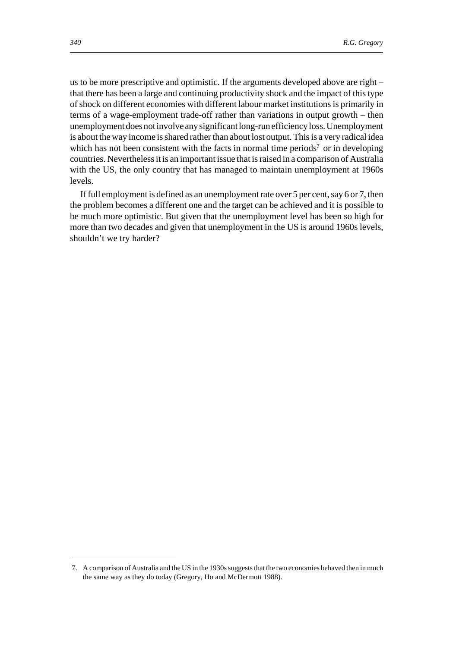us to be more prescriptive and optimistic. If the arguments developed above are right – that there has been a large and continuing productivity shock and the impact of this type of shock on different economies with different labour market institutions is primarily in terms of a wage-employment trade-off rather than variations in output growth – then unemployment does not involve any significant long-run efficiency loss. Unemployment is about the way income is shared rather than about lost output. This is a very radical idea which has not been consistent with the facts in normal time periods<sup>7</sup> or in developing countries. Nevertheless it is an important issue that is raised in a comparison of Australia with the US, the only country that has managed to maintain unemployment at 1960s levels.

If full employment is defined as an unemployment rate over 5 per cent, say 6 or 7, then the problem becomes a different one and the target can be achieved and it is possible to be much more optimistic. But given that the unemployment level has been so high for more than two decades and given that unemployment in the US is around 1960s levels, shouldn't we try harder?

<sup>7.</sup> A comparison of Australia and the US in the 1930s suggests that the two economies behaved then in much the same way as they do today (Gregory, Ho and McDermott 1988).